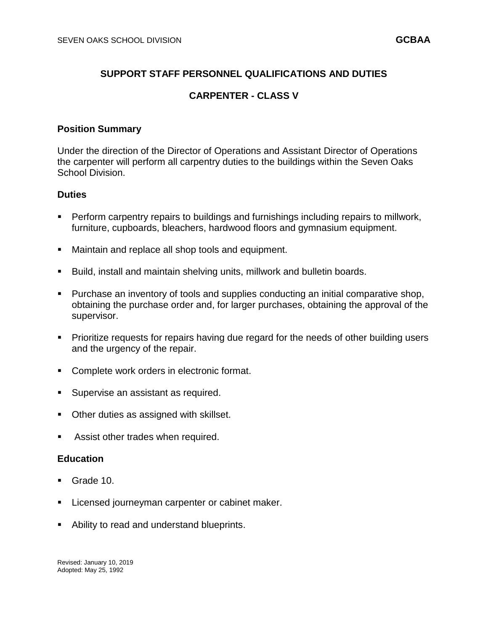## **SUPPORT STAFF PERSONNEL QUALIFICATIONS AND DUTIES**

## **CARPENTER - CLASS V**

### **Position Summary**

Under the direction of the Director of Operations and Assistant Director of Operations the carpenter will perform all carpentry duties to the buildings within the Seven Oaks School Division.

#### **Duties**

- Perform carpentry repairs to buildings and furnishings including repairs to millwork, furniture, cupboards, bleachers, hardwood floors and gymnasium equipment.
- **Maintain and replace all shop tools and equipment.**
- **Build, install and maintain shelving units, millwork and bulletin boards.**
- **Purchase an inventory of tools and supplies conducting an initial comparative shop,** obtaining the purchase order and, for larger purchases, obtaining the approval of the supervisor.
- Prioritize requests for repairs having due regard for the needs of other building users and the urgency of the repair.
- **Complete work orders in electronic format.**
- Supervise an assistant as required.
- Other duties as assigned with skillset.
- Assist other trades when required.

#### **Education**

- Grade 10.
- Licensed journeyman carpenter or cabinet maker.
- Ability to read and understand blueprints.

Revised: January 10, 2019 Adopted: May 25, 1992